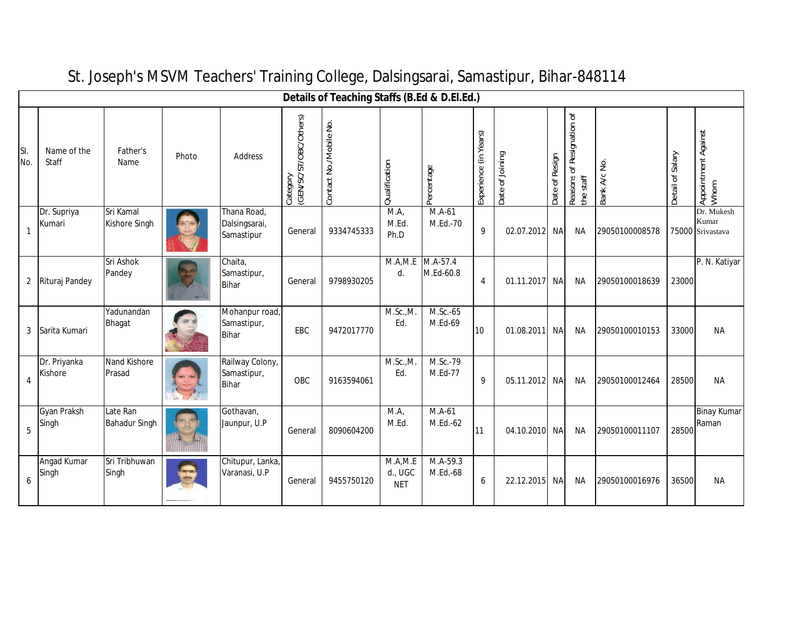|            | Details of Teaching Staffs (B.Ed & D.El.Ed.) |                                  |       |                                                |                                    |                        |                                   |                       |                       |                 |                |                                        |                |                  |                                         |
|------------|----------------------------------------------|----------------------------------|-------|------------------------------------------------|------------------------------------|------------------------|-----------------------------------|-----------------------|-----------------------|-----------------|----------------|----------------------------------------|----------------|------------------|-----------------------------------------|
| SI.<br>No. | Name of the<br>Staff                         | Father's<br>Name                 | Photo | Address                                        | Category<br>(GEN/SC/ST/OBC/Others) | Contact No./Mobile No. | Qualification                     | Percentage            | Experience (in Years) | Date of Joining | Date of Resign | Reasons of Resignation of<br>the staff | Bank A/c No.   | Detail of Salary | Appointment Against<br>Whom             |
| 1          | Dr. Supriya<br>Kumari                        | Sri Kamal<br>Kishore Singh       |       | Thana Road,<br>Dalsingsarai,<br>Samastipur     | General                            | 9334745333             | MA,<br>M.Ed.<br>Ph.D              | M.A-61<br>M.Ed.-70    | 9                     | 02.07.2012      | <b>NA</b>      | ΝA                                     | 29050100008578 |                  | Dr. Mukesh<br>Kumar<br>75000 Srivastava |
|            | 2 Rituraj Pandey                             | Sri Ashok<br>Pandey              |       | Chaita,<br>Samastipur,<br><b>Bihar</b>         | General                            | 9798930205             | M.A.M.E<br>d.                     | M.A-57.4<br>M.Ed-60.8 | 4                     | 01.11.2017 NA   |                | ΝA                                     | 29050100018639 | 23000            | P. N. Katiyar                           |
| 3          | Sarita Kumari                                | Yadunandan<br><b>Bhagat</b>      |       | Mohanpur road,<br>Samastipur,<br>Bihar         | EBC                                | 9472017770             | M.Sc.,M.<br>Ed.                   | M.Sc.-65<br>M.Ed-69   | 10                    | 01.08.2011      | NA             | ΝA                                     | 29050100010153 | 33000            | NА                                      |
| 4          | Dr. Priyanka<br>Kishore                      | Nand Kishore<br>Prasad           |       | Railway Colony,<br>Samastipur,<br><b>Bihar</b> | OBC                                | 9163594061             | M.Sc.,M.<br>Ed.                   | M.Sc.-79<br>M.Ed-77   | 9                     | 05.11.2012 NA   |                | ΝA                                     | 29050100012464 | 28500            | <b>NA</b>                               |
| 5          | Gyan Praksh<br>Singh                         | Late Ran<br><b>Bahadur Singh</b> |       | Gothavan,<br>Jaunpur, U.P                      | General                            | 8090604200             | M.A<br>M.Ed.                      | $M.A-61$<br>M.Ed.-62  | 11                    | 04.10.2010      | <b>NA</b>      | <b>NA</b>                              | 29050100011107 | 28500            | <b>Binay Kumar</b><br>Raman             |
| 6          | Angad Kumar<br>Singh                         | Sri Tribhuwan<br>Singh           |       | Chitupur, Lanka,<br>Varanasi, U.P              | General                            | 9455750120             | M.A, M.E<br>d., UGC<br><b>NET</b> | M.A-59.3<br>M.Ed.-68  | 6                     | 22.12.2015      | <b>NA</b>      | <b>NA</b>                              | 29050100016976 | 36500            | <b>NA</b>                               |

## St. Joseph's MSVM Teachers' Training College, Dalsingsarai, Samastipur, Bihar-848114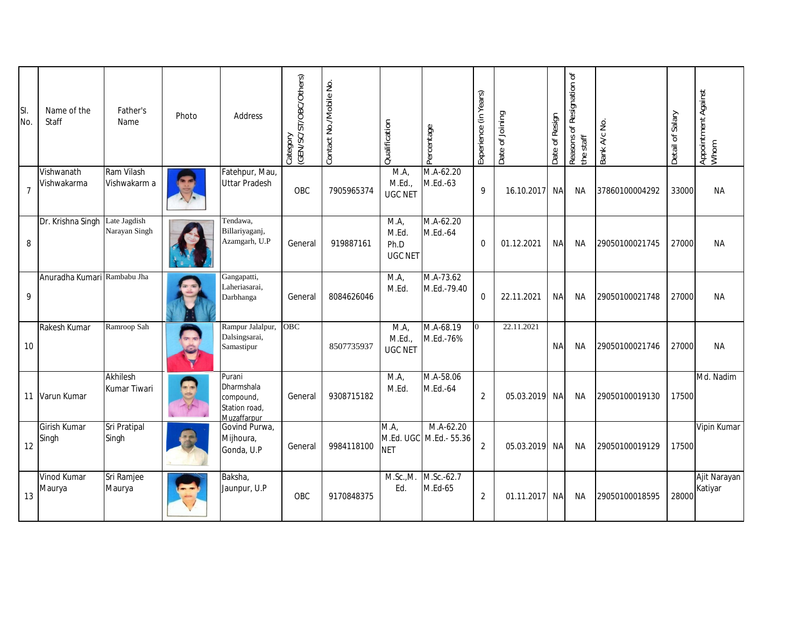| SI.<br>No.     | Name of the<br>Staff           | Father's<br>Name           | Photo | Address                                                                  | Category<br>(GEN/SC/ST/OBC/Others) | Contact No./Mobile No. | Qualification                          | Percentage                | Experience (in Years) | Date of Joining | Date of Resign | Reasons of Resignation of<br>the staff | Bank A/c No.   | Detail of Salary | Appointment Against<br>Whom |
|----------------|--------------------------------|----------------------------|-------|--------------------------------------------------------------------------|------------------------------------|------------------------|----------------------------------------|---------------------------|-----------------------|-----------------|----------------|----------------------------------------|----------------|------------------|-----------------------------|
| $\overline{7}$ | Vishwanath<br>Vishwakarma      | Ram Vilash<br>Vishwakarm a |       | Fatehpur, Mau,<br><b>Uttar Pradesh</b>                                   | OBC                                | 7905965374             | M.A<br>M.Ed.,<br><b>UGC NET</b>        | $M.A-62.20$<br>M.Ed.-63   | 9                     | 16.10.2017      | <b>NA</b>      | <b>NA</b>                              | 37860100004292 | 33000            | <b>NA</b>                   |
| 8              | Dr. Krishna Singh Late Jagdish | Narayan Singh              |       | Tendawa,<br>Billariyaganj,<br>Azamgarh, U.P                              | General                            | 919887161              | M.A<br>M.Ed.<br>Ph.D<br><b>UGC NET</b> | M.A-62.20<br>M.Ed.-64     | $\Omega$              | 01.12.2021      | <b>NA</b>      | <b>NA</b>                              | 29050100021745 | 27000            | NA.                         |
| 9              | Anuradha Kumari Rambabu Jha    |                            |       | Gangapatti,<br>Laheriasarai,<br>Darbhanga                                | General                            | 8084626046             | M.A<br>M.Ed.                           | M.A-73.62<br>M.Ed.-79.40  | $\Omega$              | 22.11.2021      | <b>NA</b>      | <b>NA</b>                              | 29050100021748 | 27000            | NA.                         |
| 10             | Rakesh Kumar                   | Ramroop Sah                |       | Rampur Jalalpur,<br>Dalsingsarai,<br>Samastipur                          | <b>OBC</b>                         | 8507735937             | M.A,<br>M.Ed.,<br><b>UGC NET</b>       | M.A-68.19<br>M.Ed.-76%    |                       | 22.11.2021      | <b>NA</b>      | <b>NA</b>                              | 29050100021746 | 27000            | <b>NA</b>                   |
|                | 11 Varun Kumar                 | Akhilesh<br>Kumar Tiwari   |       | Purani<br>Dharmshala<br>compound,<br>Station road,<br><b>Muzaffarpur</b> | General                            | 9308715182             | M.A<br>M.Ed.                           | M.A-58.06<br>M.Ed.-64     | $\overline{2}$        | 05.03.2019      | NA             | ΝA                                     | 29050100019130 | 17500            | Md. Nadim                   |
| 12             | Girish Kumar<br>Singh          | Sri Pratipal<br>Singh      |       | Govind Purwa,<br>Mijhoura,<br>Gonda, U.P                                 | General                            | 9984118100             | M.A.<br>M.Ed. UGC<br><b>NET</b>        | M.A-62.20<br>M.Ed.- 55.36 | 2                     | 05.03.2019      | NA             | ΝA                                     | 29050100019129 | 17500            | Vipin Kumar                 |
| 13             | <b>Vinod Kumar</b><br>Maurya   | Sri Ramjee<br>Maurya       |       | Baksha,<br>Jaunpur, U.P                                                  | OBC                                | 9170848375             | M.Sc., M.<br>Ed.                       | M.Sc.-62.7<br>M.Ed-65     | 2                     | 01.11.2017      | NA             | ΝA                                     | 29050100018595 | 28000            | Ajit Narayan<br>Katiyar     |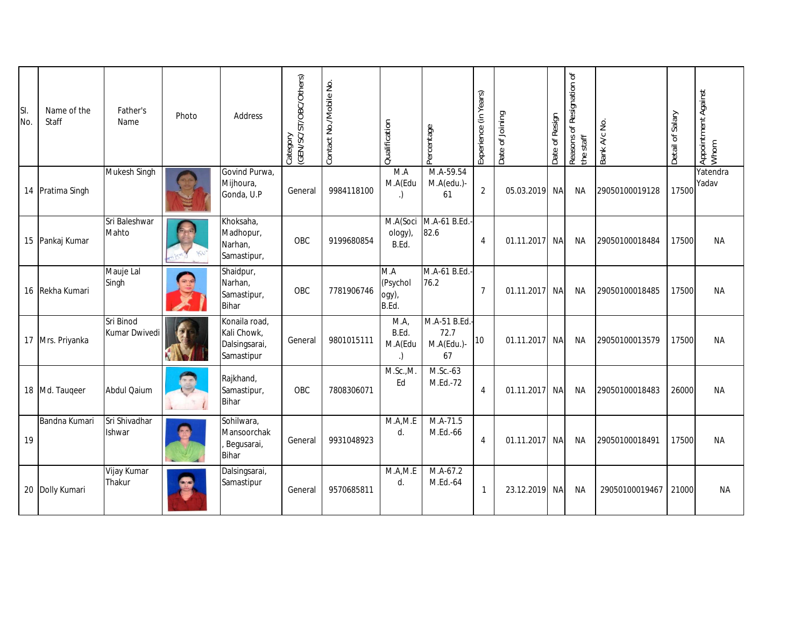| SI.<br>No. | Name of the<br>Staff | Father's<br>Name               | Photo | Address                                                     | (GEN/SC/ST/OBC/Others)<br>Category | Contact No./Mobile No. | Qualification                     | Percentage                                | Experience (in Years) | Date of Joining | Date of Resign | Reasons of Resignation of<br>the staff | Bank A/c No.   | Detail of Salary | Appointment Against<br>Whom |
|------------|----------------------|--------------------------------|-------|-------------------------------------------------------------|------------------------------------|------------------------|-----------------------------------|-------------------------------------------|-----------------------|-----------------|----------------|----------------------------------------|----------------|------------------|-----------------------------|
|            | 14 Pratima Singh     | Mukesh Singh                   |       | Govind Purwa,<br>Mijhoura,<br>Gonda, U.P                    | General                            | 9984118100             | M.A<br>M.A(Edu                    | M.A-59.54<br>M.A(edu.)-<br>61             | $\overline{2}$        | 05.03.2019      | NA             | ΝA                                     | 29050100019128 | 17500            | Yatendra<br>Yadav           |
|            | 15 Pankaj Kumar      | Sri Baleshwar<br>Mahto         |       | Khoksaha,<br>Madhopur,<br>Narhan,<br>Samastipur,            | OBC                                | 9199680854             | M.A(Soci<br>ology),<br>B.Ed.      | M.A-61 B.Ed.-<br>82.6                     | 4                     | 01.11.2017 NA   |                | ΝA                                     | 29050100018484 | 17500            | NA.                         |
|            | 16 Rekha Kumari      | Mauje Lal<br>Singh             |       | Shaidpur,<br>Narhan,<br>Samastipur,<br><b>Bihar</b>         | OBC                                | 7781906746             | M.A<br>(Psychol<br>ogy),<br>B.Ed. | M.A-61 B.Ed.-<br>76.2                     | $\overline{7}$        | 01.11.2017      | <b>NA</b>      | <b>NA</b>                              | 29050100018485 | 17500            | <b>NA</b>                   |
|            | 17 Mrs. Priyanka     | Sri Binod<br>Kumar Dwivedi     |       | Konaila road,<br>Kali Chowk,<br>Dalsingsarai,<br>Samastipur | General                            | 9801015111             | M.A<br>B.Ed.<br>M.A(Edu           | M.A-51 B.Ed.-<br>72.7<br>M.A(Edu.)-<br>67 | 10                    | 01.11.2017      | <b>NA</b>      | <b>NA</b>                              | 29050100013579 | 17500            | <b>NA</b>                   |
|            | 18 Md. Taugeer       | <b>Abdul Qaium</b>             |       | Rajkhand,<br>Samastipur,<br><b>Bihar</b>                    | OBC                                | 7808306071             | M.Sc.,M.<br>Ed                    | M.Sc.-63<br>M.Ed.-72                      | $\overline{4}$        | 01.11.2017      | <b>NA</b>      | <b>NA</b>                              | 29050100018483 | 26000            | <b>NA</b>                   |
| 19         | Bandna Kumari        | Sri Shivadhar<br><b>Ishwar</b> |       | Sohilwara,<br>Mansoorchak<br>Begusarai,<br><b>Bihar</b>     | General                            | 9931048923             | M.A.M.E<br>d.                     | M.A-71.5<br>M.Ed.-66                      | 4                     | 01.11.2017      | <b>NA</b>      | <b>NA</b>                              | 29050100018491 | 17500            | <b>NA</b>                   |
|            | 20 Dolly Kumari      | Vijay Kumar<br>Thakur          |       | Dalsingsarai,<br>Samastipur                                 | General                            | 9570685811             | M.A.M.E<br>d.                     | M.A-67.2<br>M.Ed.-64                      | $\mathbf{1}$          | 23.12.2019      | <b>NA</b>      | <b>NA</b>                              | 29050100019467 | 21000            | NA.                         |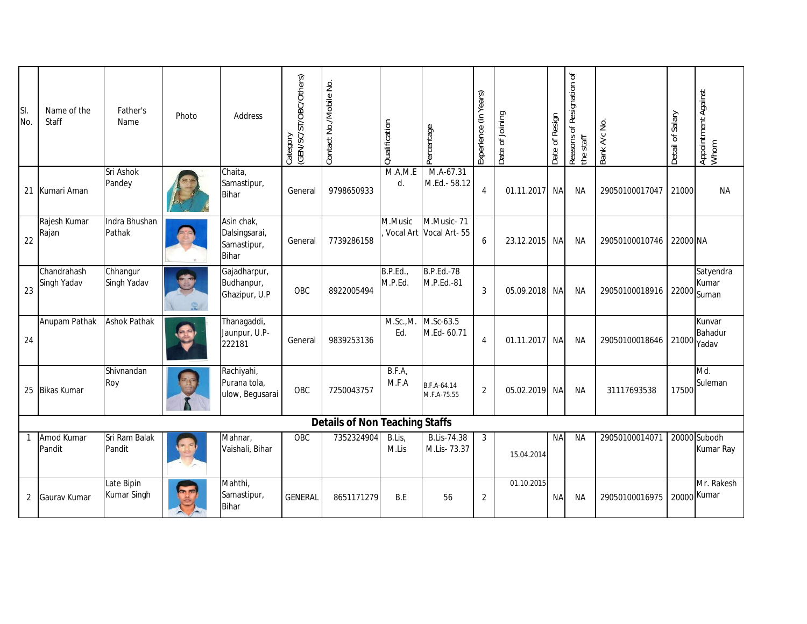| SI.<br>No.     | Name of the<br>Staff       | Father's<br>Name          | Photo | Address                                                    | (GEN/SC/ST/OBC/Others)<br>Category | Contact No./Mobile No.                | Qualification       | Percentage                           | Experience (in Years) | Date of Joining | Date of Resign | Reasons of Resignation of<br>the staff | Bank A/c No.   | Detail of Salary | Appointment Against<br>Whom         |
|----------------|----------------------------|---------------------------|-------|------------------------------------------------------------|------------------------------------|---------------------------------------|---------------------|--------------------------------------|-----------------------|-----------------|----------------|----------------------------------------|----------------|------------------|-------------------------------------|
|                | 21 Kumari Aman             | Sri Ashok<br>Pandey       |       | Chaita,<br>Samastipur,<br><b>Bihar</b>                     | General                            | 9798650933                            | M.A.M.E<br>d.       | M.A-67.31<br>M.Ed.- 58.12            | $\overline{4}$        | 01.11.2017      | <b>NA</b>      | <b>NA</b>                              | 29050100017047 | 21000            | <b>NA</b>                           |
| 22             | Rajesh Kumar<br>Rajan      | Indra Bhushan<br>Pathak   |       | Asin chak,<br>Dalsingsarai,<br>Samastipur,<br><b>Bihar</b> | General                            | 7739286158                            | M.Music             | M.Music-71<br>Vocal Art Vocal Art-55 | 6                     | 23.12.2015      | NA             | NA                                     | 29050100010746 | 22000 NA         |                                     |
| 23             | Chandrahash<br>Singh Yadav | Chhangur<br>Singh Yadav   |       | Gajadharpur,<br>Budhanpur,<br>Ghazipur, U.P                | OBC                                | 8922005494                            | B.P.Ed.,<br>M.P.Ed. | <b>B.P.Ed.-78</b><br>M.P.Ed.-81      | 3                     | 05.09.2018      | <b>NA</b>      | <b>NA</b>                              | 29050100018916 |                  | Satyendra<br>Kumar<br>$22000$ Suman |
| 24             | Anupam Pathak              | <b>Ashok Pathak</b>       |       | Thanagaddi,<br>Jaunpur, U.P-<br>222181                     | General                            | 9839253136                            | M.Sc.,M.<br>Ed.     | M.Sc-63.5<br>M.Ed- 60.71             | $\overline{4}$        | 01.11.2017      | <b>NA</b>      | NA                                     | 29050100018646 | $21000$ Yadav    | Kunvar<br>Bahadur                   |
|                | 25 Bikas Kumar             | Shivnandan<br>Roy         |       | Rachiyahi,<br>Purana tola,<br>ulow, Begusarai              | OBC                                | 7250043757                            | B.F.A<br>M.F.A      | B.F.A-64.14<br>M.F.A-75.55           | $\overline{2}$        | 05.02.2019      | <b>NA</b>      | NA                                     | 31117693538    | 17500            | Md.<br>Suleman                      |
|                |                            |                           |       |                                                            |                                    | <b>Details of Non Teaching Staffs</b> |                     |                                      |                       |                 |                |                                        |                |                  |                                     |
|                | Amod Kumar<br>Pandit       | Sri Ram Balak<br>Pandit   |       | Mahnar,<br>Vaishali, Bihar                                 | OBC                                | 7352324904                            | B.Lis,<br>M.Lis     | <b>B.Lis-74.38</b><br>M.Lis-73.37    | 3                     | 15.04.2014      | <b>NA</b>      | <b>NA</b>                              | 29050100014071 |                  | 20000 Subodh<br>Kumar Ray           |
| $\overline{2}$ | Gaurav Kumar               | Late Bipin<br>Kumar Singh |       | Mahthi,<br>Samastipur,<br><b>Bihar</b>                     | <b>GENERAL</b>                     | 8651171279                            | B.E                 | 56                                   | 2                     | 01.10.2015      | <b>NA</b>      | NA                                     | 29050100016975 |                  | Mr. Rakesh<br>20000 Kumar           |